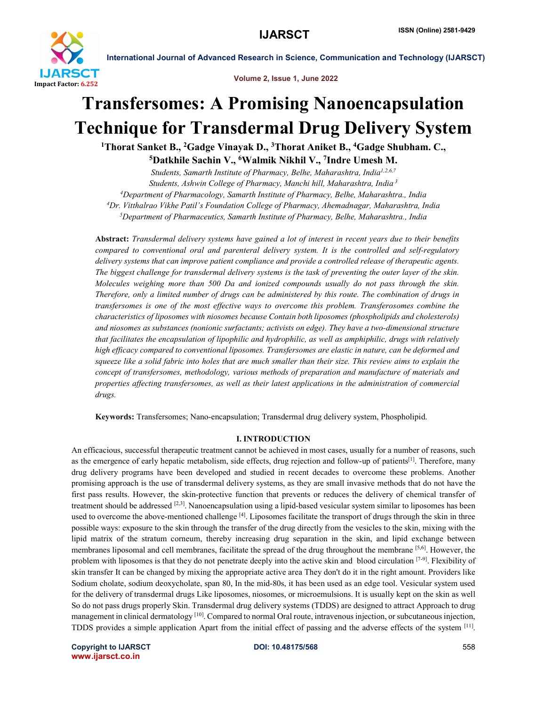

Volume 2, Issue 1, June 2022

# Transfersomes: A Promising Nanoencapsulation Technique for Transdermal Drug Delivery System

<sup>1</sup>Thorat Sanket B., <sup>2</sup>Gadge Vinayak D., <sup>3</sup>Thorat Aniket B., <sup>4</sup>Gadge Shubham. C.,

5Datkhile Sachin V., 6Walmik Nikhil V., 7Indre Umesh M.

*Students, Samarth Institute of Pharmacy, Belhe, Maharashtra, India1,2,6,7 Students, Ashwin College of Pharmacy, Manchi hill, Maharashtra, India <sup>3</sup> 4 Department of Pharmacology, Samarth Institute of Pharmacy, Belhe, Maharashtra., India 4 Dr. Vitthalrao Vikhe Patil's Foundation College of Pharmacy, Ahemadnagar, Maharashtra, India 5 Department of Pharmaceutics, Samarth Institute of Pharmacy, Belhe, Maharashtra., India*

Abstract: *Transdermal delivery systems have gained a lot of interest in recent years due to their benefits compared to conventional oral and parenteral delivery system. It is the controlled and self-regulatory delivery systems that can improve patient compliance and provide a controlled release of therapeutic agents. The biggest challenge for transdermal delivery systems is the task of preventing the outer layer of the skin. Molecules weighing more than 500 Da and ionized compounds usually do not pass through the skin. Therefore, only a limited number of drugs can be administered by this route. The combination of drugs in transfersomes is one of the most effective ways to overcome this problem. Transferosomes combine the characteristics of liposomes with niosomes because Contain both liposomes (phospholipids and cholesterols) and niosomes as substances (nonionic surfactants; activists on edge). They have a two-dimensional structure that facilitates the encapsulation of lipophilic and hydrophilic, as well as amphiphilic, drugs with relatively high efficacy compared to conventional liposomes. Transfersomes are elastic in nature, can be deformed and squeeze like a solid fabric into holes that are much smaller than their size. This review aims to explain the concept of transfersomes, methodology, various methods of preparation and manufacture of materials and properties affecting transfersomes, as well as their latest applications in the administration of commercial drugs.*

Keywords: Transfersomes; Nano-encapsulation; Transdermal drug delivery system, Phospholipid.

#### I. INTRODUCTION

An efficacious, successful therapeutic treatment cannot be achieved in most cases, usually for a number of reasons, such as the emergence of early hepatic metabolism, side effects, drug rejection and follow-up of patients<sup>[1]</sup>. Therefore, many drug delivery programs have been developed and studied in recent decades to overcome these problems. Another promising approach is the use of transdermal delivery systems, as they are small invasive methods that do not have the first pass results. However, the skin-protective function that prevents or reduces the delivery of chemical transfer of treatment should be addressed [2,3]. Nanoencapsulation using a lipid-based vesicular system similar to liposomes has been used to overcome the above-mentioned challenge  $^{[4]}$ . Liposomes facilitate the transport of drugs through the skin in three possible ways: exposure to the skin through the transfer of the drug directly from the vesicles to the skin, mixing with the lipid matrix of the stratum corneum, thereby increasing drug separation in the skin, and lipid exchange between membranes liposomal and cell membranes, facilitate the spread of the drug throughout the membrane [5,6]. However, the problem with liposomes is that they do not penetrate deeply into the active skin and blood circulation  $[7-9]$ . Flexibility of skin transfer It can be changed by mixing the appropriate active area They don't do it in the right amount. Providers like Sodium cholate, sodium deoxycholate, span 80, In the mid-80s, it has been used as an edge tool. Vesicular system used for the delivery of transdermal drugs Like liposomes, niosomes, or microemulsions. It is usually kept on the skin as well So do not pass drugs properly Skin. Transdermal drug delivery systems (TDDS) are designed to attract Approach to drug management in clinical dermatology <sup>[10]</sup>. Compared to normal Oral route, intravenous injection, or subcutaneous injection, TDDS provides a simple application Apart from the initial effect of passing and the adverse effects of the system [11].

Copyright to IJARSCT **DOI: 10.48175/568** 558 www.ijarsct.co.in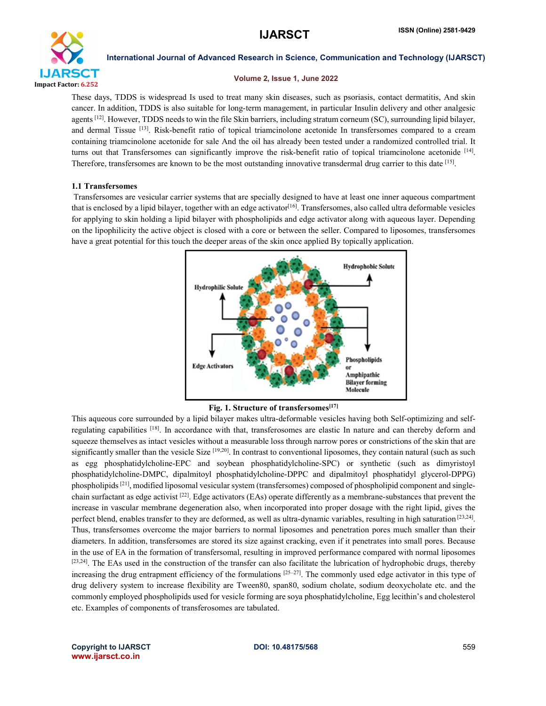

#### Volume 2, Issue 1, June 2022

These days, TDDS is widespread Is used to treat many skin diseases, such as psoriasis, contact dermatitis, And skin cancer. In addition, TDDS is also suitable for long-term management, in particular Insulin delivery and other analgesic agents [12]. However, TDDS needs to win the file Skin barriers, including stratum corneum (SC), surrounding lipid bilayer, and dermal Tissue [13]. Risk-benefit ratio of topical triamcinolone acetonide In transfersomes compared to a cream containing triamcinolone acetonide for sale And the oil has already been tested under a randomized controlled trial. It turns out that Transfersomes can significantly improve the risk-benefit ratio of topical triamcinolone acetonide  $[14]$ . Therefore, transfersomes are known to be the most outstanding innovative transdermal drug carrier to this date [15].

#### 1.1 Transfersomes

Transfersomes are vesicular carrier systems that are specially designed to have at least one inner aqueous compartment that is enclosed by a lipid bilayer, together with an edge activator<sup>[16]</sup>. Transfersomes, also called ultra deformable vesicles for applying to skin holding a lipid bilayer with phospholipids and edge activator along with aqueous layer. Depending on the lipophilicity the active object is closed with a core or between the seller. Compared to liposomes, transfersomes have a great potential for this touch the deeper areas of the skin once applied By topically application.



Fig. 1. Structure of transfersomes[17]

This aqueous core surrounded by a lipid bilayer makes ultra-deformable vesicles having both Self-optimizing and selfregulating capabilities [18]. In accordance with that, transferosomes are elastic In nature and can thereby deform and squeeze themselves as intact vesicles without a measurable loss through narrow pores or constrictions of the skin that are significantly smaller than the vesicle Size  $[19,20]$ . In contrast to conventional liposomes, they contain natural (such as such as egg phosphatidylcholine-EPC and soybean phosphatidylcholine-SPC) or synthetic (such as dimyristoyl phosphatidylcholine-DMPC, dipalmitoyl phosphatidylcholine-DPPC and dipalmitoyl phosphatidyl glycerol-DPPG) phospholipids [21], modified liposomal vesicular system (transfersomes) composed of phospholipid component and singlechain surfactant as edge activist  $^{[22]}$ . Edge activators (EAs) operate differently as a membrane-substances that prevent the increase in vascular membrane degeneration also, when incorporated into proper dosage with the right lipid, gives the perfect blend, enables transfer to they are deformed, as well as ultra-dynamic variables, resulting in high saturation [23,24]. Thus, transfersomes overcome the major barriers to normal liposomes and penetration pores much smaller than their diameters. In addition, transfersomes are stored its size against cracking, even if it penetrates into small pores. Because in the use of EA in the formation of transfersomal, resulting in improved performance compared with normal liposomes [23,24]. The EAs used in the construction of the transfer can also facilitate the lubrication of hydrophobic drugs, thereby increasing the drug entrapment efficiency of the formulations [25-27]. The commonly used edge activator in this type of drug delivery system to increase flexibility are Tween80, span80, sodium cholate, sodium deoxycholate etc. and the commonly employed phospholipids used for vesicle forming are soya phosphatidylcholine, Egg lecithin's and cholesterol etc. Examples of components of transferosomes are tabulated.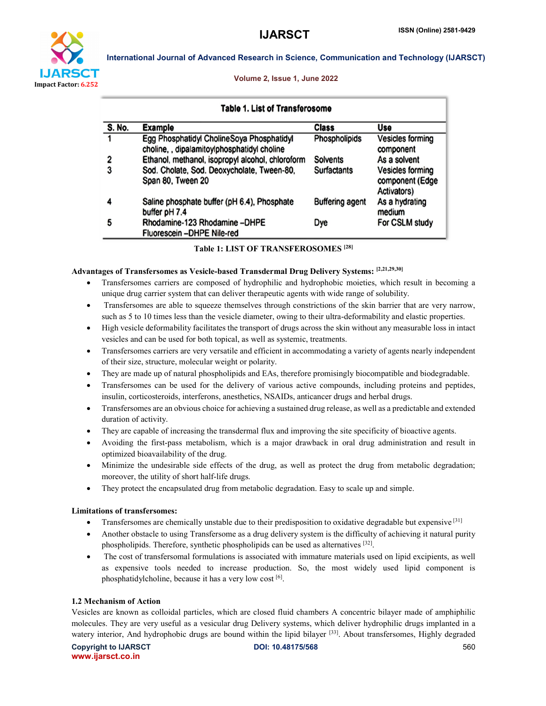

#### Volume 2, Issue 1, June 2022

International Journal of Advanced Research in Science, Communication and Technology (IJARSCT)

| Table 1. List of Transferosome |                                                                                          |                        |                                                                  |  |
|--------------------------------|------------------------------------------------------------------------------------------|------------------------|------------------------------------------------------------------|--|
| S. No.                         | <b>Example</b>                                                                           | <b>Class</b>           | Use                                                              |  |
|                                | Egg Phosphatidyl CholineSoya Phosphatidyl<br>choline, , dipalamitoylphosphatidyl choline | Phospholipids          | <b>Vesicles forming</b><br>component                             |  |
| 2                              | Ethanol, methanol, isopropyl alcohol, chloroform                                         | <b>Solvents</b>        | As a solvent                                                     |  |
| 3                              | Sod. Cholate, Sod. Deoxycholate, Tween-80,<br>Span 80, Tween 20                          | <b>Surfactants</b>     | <b>Vesicles forming</b><br>component (Edge<br><b>Activators)</b> |  |
| 4                              | Saline phosphate buffer (pH 6.4), Phosphate<br>buffer pH 7.4                             | <b>Buffering agent</b> | As a hydrating<br>medium                                         |  |
| 5                              | Rhodamine-123 Rhodamine-DHPE<br>Fluorescein-DHPE Nile-red                                | Dye                    | For CSLM study                                                   |  |

| <b>Table 1: LIST OF TRANSFEROSOMES [28]</b> |  |  |  |  |
|---------------------------------------------|--|--|--|--|
|---------------------------------------------|--|--|--|--|

# Advantages of Transfersomes as Vesicle-based Transdermal Drug Delivery Systems: [2,21,29,30]

- Transfersomes carriers are composed of hydrophilic and hydrophobic moieties, which result in becoming a unique drug carrier system that can deliver therapeutic agents with wide range of solubility.
- Transfersomes are able to squeeze themselves through constrictions of the skin barrier that are very narrow, such as 5 to 10 times less than the vesicle diameter, owing to their ultra-deformability and elastic properties.
- High vesicle deformability facilitates the transport of drugs across the skin without any measurable loss in intact vesicles and can be used for both topical, as well as systemic, treatments.
- Transfersomes carriers are very versatile and efficient in accommodating a variety of agents nearly independent of their size, structure, molecular weight or polarity.
- They are made up of natural phospholipids and EAs, therefore promisingly biocompatible and biodegradable.
- Transfersomes can be used for the delivery of various active compounds, including proteins and peptides, insulin, corticosteroids, interferons, anesthetics, NSAIDs, anticancer drugs and herbal drugs.
- Transfersomes are an obvious choice for achieving a sustained drug release, as well as a predictable and extended duration of activity.
- They are capable of increasing the transdermal flux and improving the site specificity of bioactive agents.
- Avoiding the first-pass metabolism, which is a major drawback in oral drug administration and result in optimized bioavailability of the drug.
- Minimize the undesirable side effects of the drug, as well as protect the drug from metabolic degradation; moreover, the utility of short half-life drugs.
- They protect the encapsulated drug from metabolic degradation. Easy to scale up and simple.

#### Limitations of transfersomes:

- Transfersomes are chemically unstable due to their predisposition to oxidative degradable but expensive [31]
- Another obstacle to using Transfersome as a drug delivery system is the difficulty of achieving it natural purity phospholipids. Therefore, synthetic phospholipids can be used as alternatives [32].
- The cost of transfersomal formulations is associated with immature materials used on lipid excipients, as well as expensive tools needed to increase production. So, the most widely used lipid component is phosphatidylcholine, because it has a very low cost [6].

#### 1.2 Mechanism of Action

Vesicles are known as colloidal particles, which are closed fluid chambers A concentric bilayer made of amphiphilic molecules. They are very useful as a vesicular drug Delivery systems, which deliver hydrophilic drugs implanted in a watery interior, And hydrophobic drugs are bound within the lipid bilayer [33]. About transfersomes, Highly degraded

Copyright to IJARSCT **DOI: 10.48175/568** 560 www.ijarsct.co.in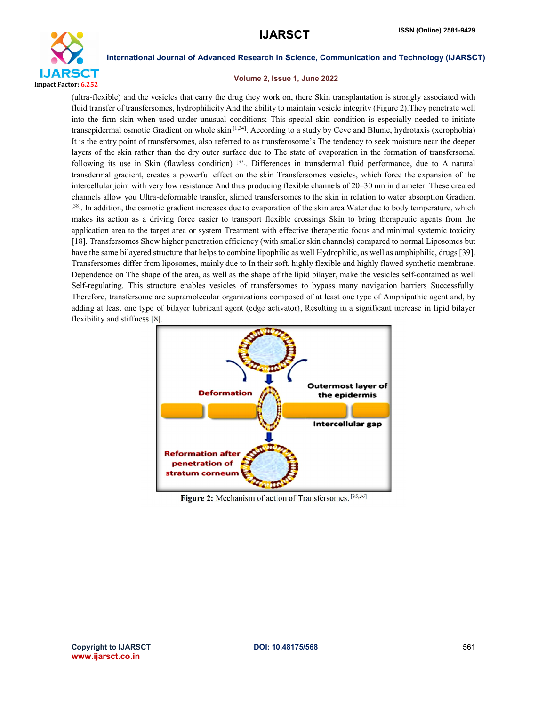

#### Volume 2, Issue 1, June 2022

(ultra-flexible) and the vesicles that carry the drug they work on, there Skin transplantation is strongly associated with fluid transfer of transfersomes, hydrophilicity And the ability to maintain vesicle integrity (Figure 2).They penetrate well into the firm skin when used under unusual conditions; This special skin condition is especially needed to initiate transepidermal osmotic Gradient on whole skin [1,34]. According to a study by Cevc and Blume, hydrotaxis (xerophobia) It is the entry point of transfersomes, also referred to as transferosome's The tendency to seek moisture near the deeper layers of the skin rather than the dry outer surface due to The state of evaporation in the formation of transfersomal following its use in Skin (flawless condition) [37]. Differences in transdermal fluid performance, due to A natural transdermal gradient, creates a powerful effect on the skin Transfersomes vesicles, which force the expansion of the intercellular joint with very low resistance And thus producing flexible channels of 20–30 nm in diameter. These created channels allow you Ultra-deformable transfer, slimed transfersomes to the skin in relation to water absorption Gradient [38]. In addition, the osmotic gradient increases due to evaporation of the skin area Water due to body temperature, which makes its action as a driving force easier to transport flexible crossings Skin to bring therapeutic agents from the application area to the target area or system Treatment with effective therapeutic focus and minimal systemic toxicity [18]. Transfersomes Show higher penetration efficiency (with smaller skin channels) compared to normal Liposomes but have the same bilayered structure that helps to combine lipophilic as well Hydrophilic, as well as amphiphilic, drugs [39]. Transfersomes differ from liposomes, mainly due to In their soft, highly flexible and highly flawed synthetic membrane. Dependence on The shape of the area, as well as the shape of the lipid bilayer, make the vesicles self-contained as well Self-regulating. This structure enables vesicles of transfersomes to bypass many navigation barriers Successfully. Therefore, transfersome are supramolecular organizations composed of at least one type of Amphipathic agent and, by adding at least one type of bilayer lubricant agent (edge activator), Resulting in a significant increase in lipid bilayer flexibility and stiffness [8].



Figure 2: Mechanism of action of Transfersomes. [35,36]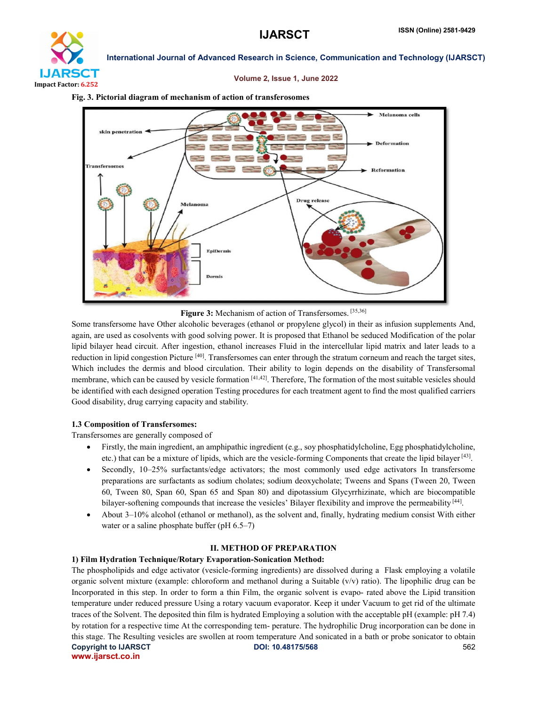

### Volume 2, Issue 1, June 2022

#### Fig. 3. Pictorial diagram of mechanism of action of transferosomes



Figure 3: Mechanism of action of Transfersomes. [35,36]

Some transfersome have Other alcoholic beverages (ethanol or propylene glycol) in their as infusion supplements And, again, are used as cosolvents with good solving power. It is proposed that Ethanol be seduced Modification of the polar lipid bilayer head circuit. After ingestion, ethanol increases Fluid in the intercellular lipid matrix and later leads to a reduction in lipid congestion Picture  $[40]$ . Transfersomes can enter through the stratum corneum and reach the target sites, Which includes the dermis and blood circulation. Their ability to login depends on the disability of Transfersomal membrane, which can be caused by vesicle formation [41,42]. Therefore, The formation of the most suitable vesicles should be identified with each designed operation Testing procedures for each treatment agent to find the most qualified carriers Good disability, drug carrying capacity and stability.

# 1.3 Composition of Transfersomes:

Transfersomes are generally composed of

- $\bullet$  Firstly, the main ingredient, an amphipathic ingredient (e.g., soy phosphatidylcholine, Egg phosphatidylcholine, etc.) that can be a mixture of lipids, which are the vesicle-forming Components that create the lipid bilayer  $[43]$ .
- Secondly, 10–25% surfactants/edge activators; the most commonly used edge activators In transfersome preparations are surfactants as sodium cholates; sodium deoxycholate; Tweens and Spans (Tween 20, Tween 60, Tween 80, Span 60, Span 65 and Span 80) and dipotassium Glycyrrhizinate, which are biocompatible bilayer-softening compounds that increase the vesicles' Bilayer flexibility and improve the permeability [44].
- About 3–10% alcohol (ethanol or methanol), as the solvent and, finally, hydrating medium consist With either water or a saline phosphate buffer (pH  $6.5-7$ )

# II. METHOD OF PREPARATION

# 1) Film Hydration Technique/Rotary Evaporation-Sonication Method:

Copyright to IJARSCT **DOI: 10.48175/568** 562 www.ijarsct.co.in The phospholipids and edge activator (vesicle-forming ingredients) are dissolved during a Flask employing a volatile organic solvent mixture (example: chloroform and methanol during a Suitable (v/v) ratio). The lipophilic drug can be Incorporated in this step. In order to form a thin Film, the organic solvent is evapo- rated above the Lipid transition temperature under reduced pressure Using a rotary vacuum evaporator. Keep it under Vacuum to get rid of the ultimate traces of the Solvent. The deposited thin film is hydrated Employing a solution with the acceptable pH (example: pH 7.4) by rotation for a respective time At the corresponding tem- perature. The hydrophilic Drug incorporation can be done in this stage. The Resulting vesicles are swollen at room temperature And sonicated in a bath or probe sonicator to obtain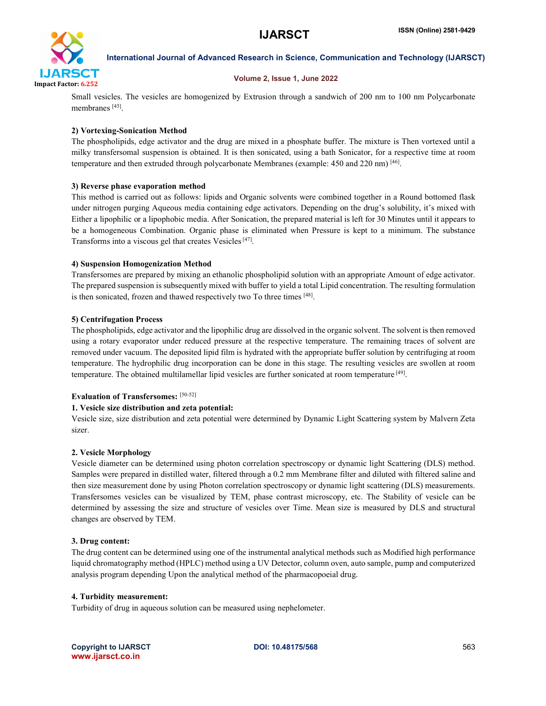

### Volume 2, Issue 1, June 2022

Small vesicles. The vesicles are homogenized by Extrusion through a sandwich of 200 nm to 100 nm Polycarbonate membranes [45].

# 2) Vortexing-Sonication Method

The phospholipids, edge activator and the drug are mixed in a phosphate buffer. The mixture is Then vortexed until a milky transfersomal suspension is obtained. It is then sonicated, using a bath Sonicator, for a respective time at room temperature and then extruded through polycarbonate Membranes (example: 450 and 220 nm) [46].

### 3) Reverse phase evaporation method

This method is carried out as follows: lipids and Organic solvents were combined together in a Round bottomed flask under nitrogen purging Aqueous media containing edge activators. Depending on the drug's solubility, it's mixed with Either a lipophilic or a lipophobic media. After Sonication, the prepared material is left for 30 Minutes until it appears to be a homogeneous Combination. Organic phase is eliminated when Pressure is kept to a minimum. The substance Transforms into a viscous gel that creates Vesicles[47].

### 4) Suspension Homogenization Method

Transfersomes are prepared by mixing an ethanolic phospholipid solution with an appropriate Amount of edge activator. The prepared suspension is subsequently mixed with buffer to yield a total Lipid concentration. The resulting formulation is then sonicated, frozen and thawed respectively two To three times [48].

### 5) Centrifugation Process

The phospholipids, edge activator and the lipophilic drug are dissolved in the organic solvent. The solvent is then removed using a rotary evaporator under reduced pressure at the respective temperature. The remaining traces of solvent are removed under vacuum. The deposited lipid film is hydrated with the appropriate buffer solution by centrifuging at room temperature. The hydrophilic drug incorporation can be done in this stage. The resulting vesicles are swollen at room temperature. The obtained multilamellar lipid vesicles are further sonicated at room temperature [49].

# Evaluation of Transfersomes: [50-52]

#### 1. Vesicle size distribution and zeta potential:

Vesicle size, size distribution and zeta potential were determined by Dynamic Light Scattering system by Malvern Zeta sizer.

#### 2. Vesicle Morphology

Vesicle diameter can be determined using photon correlation spectroscopy or dynamic light Scattering (DLS) method. Samples were prepared in distilled water, filtered through a 0.2 mm Membrane filter and diluted with filtered saline and then size measurement done by using Photon correlation spectroscopy or dynamic light scattering (DLS) measurements. Transfersomes vesicles can be visualized by TEM, phase contrast microscopy, etc. The Stability of vesicle can be determined by assessing the size and structure of vesicles over Time. Mean size is measured by DLS and structural changes are observed by TEM.

#### 3. Drug content:

The drug content can be determined using one of the instrumental analytical methods such as Modified high performance liquid chromatography method (HPLC) method using a UV Detector, column oven, auto sample, pump and computerized analysis program depending Upon the analytical method of the pharmacopoeial drug.

#### 4. Turbidity measurement:

Turbidity of drug in aqueous solution can be measured using nephelometer.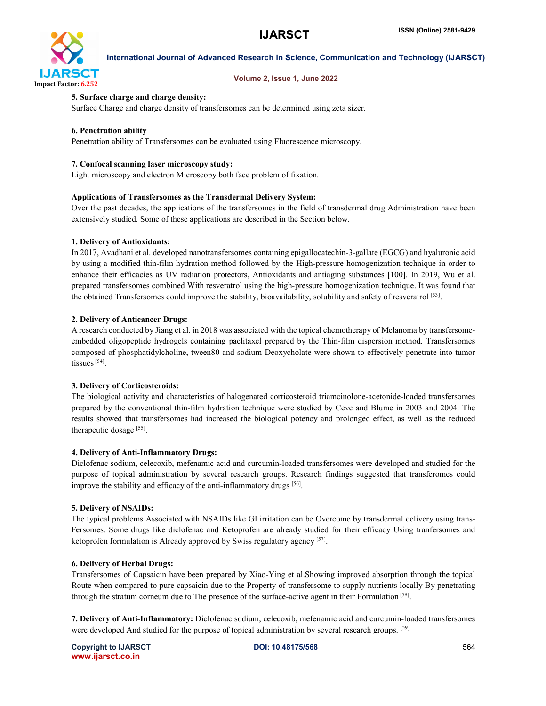

#### Volume 2, Issue 1, June 2022

### 5. Surface charge and charge density:

Surface Charge and charge density of transfersomes can be determined using zeta sizer.

### 6. Penetration ability

Penetration ability of Transfersomes can be evaluated using Fluorescence microscopy.

#### 7. Confocal scanning laser microscopy study:

Light microscopy and electron Microscopy both face problem of fixation.

### Applications of Transfersomes as the Transdermal Delivery System:

Over the past decades, the applications of the transfersomes in the field of transdermal drug Administration have been extensively studied. Some of these applications are described in the Section below.

### 1. Delivery of Antioxidants:

In 2017, Avadhani et al. developed nanotransfersomes containing epigallocatechin-3-gallate (EGCG) and hyaluronic acid by using a modified thin-film hydration method followed by the High-pressure homogenization technique in order to enhance their efficacies as UV radiation protectors, Antioxidants and antiaging substances [100]. In 2019, Wu et al. prepared transfersomes combined With resveratrol using the high-pressure homogenization technique. It was found that the obtained Transfersomes could improve the stability, bioavailability, solubility and safety of resveratrol [53].

### 2. Delivery of Anticancer Drugs:

A research conducted by Jiang et al. in 2018 was associated with the topical chemotherapy of Melanoma by transfersomeembedded oligopeptide hydrogels containing paclitaxel prepared by the Thin-film dispersion method. Transfersomes composed of phosphatidylcholine, tween80 and sodium Deoxycholate were shown to effectively penetrate into tumor tissues<sup>[54]</sup>.

#### 3. Delivery of Corticosteroids:

The biological activity and characteristics of halogenated corticosteroid triamcinolone-acetonide-loaded transfersomes prepared by the conventional thin-film hydration technique were studied by Cevc and Blume in 2003 and 2004. The results showed that transfersomes had increased the biological potency and prolonged effect, as well as the reduced therapeutic dosage [55].

#### 4. Delivery of Anti-Inflammatory Drugs:

Diclofenac sodium, celecoxib, mefenamic acid and curcumin-loaded transfersomes were developed and studied for the purpose of topical administration by several research groups. Research findings suggested that transferomes could improve the stability and efficacy of the anti-inflammatory drugs [56].

#### 5. Delivery of NSAIDs:

The typical problems Associated with NSAIDs like GI irritation can be Overcome by transdermal delivery using trans-Fersomes. Some drugs like diclofenac and Ketoprofen are already studied for their efficacy Using tranfersomes and ketoprofen formulation is Already approved by Swiss regulatory agency [57].

# 6. Delivery of Herbal Drugs:

Transfersomes of Capsaicin have been prepared by Xiao-Ying et al.Showing improved absorption through the topical Route when compared to pure capsaicin due to the Property of transfersome to supply nutrients locally By penetrating through the stratum corneum due to The presence of the surface-active agent in their Formulation [58].

7. Delivery of Anti-Inflammatory: Diclofenac sodium, celecoxib, mefenamic acid and curcumin-loaded transfersomes were developed And studied for the purpose of topical administration by several research groups. [59]

Copyright to IJARSCT **DOI: 10.48175/568** 564 www.ijarsct.co.in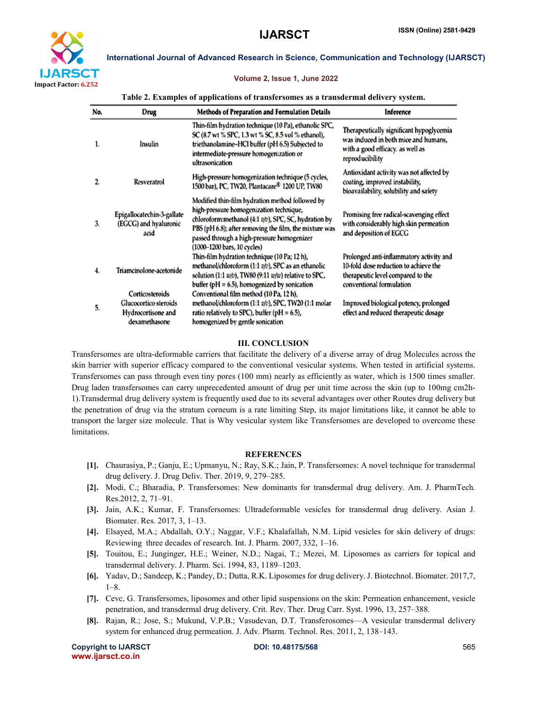

#### Volume 2, Issue 1, June 2022

| Table 2. Examples of applications of transfersomes as a transdermal delivery system. |  |  |
|--------------------------------------------------------------------------------------|--|--|
|                                                                                      |  |  |

| No.            | Drug                                                                            | <b>Methods of Preparation and Formulation Details</b>                                                                                                                                                                                                                                     | Inference                                                                                                                                          |
|----------------|---------------------------------------------------------------------------------|-------------------------------------------------------------------------------------------------------------------------------------------------------------------------------------------------------------------------------------------------------------------------------------------|----------------------------------------------------------------------------------------------------------------------------------------------------|
| 1.             | Insulin                                                                         | Thin-film hydration technique (10 Pa), ethanolic SPC,<br>SC (8.7 wt % SPC, 1.3 wt % SC, 8.5 vol % ethanol),<br>triethanolamine-HCl buffer (pH 6.5) Subjected to<br>intermediate-pressure homogenization or<br>ultrasonication                                                             | Therapeutically significant hypoglycemia<br>was induced in both mice and humans,<br>with a good efficacy. as well as<br>reproducibility            |
| $\overline{2}$ | <b>Resveratrol</b>                                                              | High-pressure homogenization technique (5 cycles,<br>1500 bar), PC, TW20, Plantacare <sup>®</sup> 1200 UP, TW80                                                                                                                                                                           | Antioxidant activity was not affected by<br>coating, improved instability,<br>bioavailability, solubility and safety                               |
| 3.             | Epigallocatechin-3-gallate<br>(EGCG) and hyaluronic<br>acid                     | Modified thin-film hydration method followed by<br>high-pressure homogenization technique,<br>chloroform:methanol (4:1 v/v), SPC, SC, hydration by<br>PBS (pH 6.8); after removing the film, the mixture was<br>passed through a high-pressure homogenizer<br>(1000-1200 bars, 10 cycles) | Promising free radical-scavenging effect<br>with considerably high skin permeation<br>and deposition of EGCG                                       |
| 4.             | Triamcinolone-acetonide                                                         | Thin-film hydration technique (10 Pa; 12 h),<br>methanol/chloroform (1:1 v/v), SPC as an ethanolic<br>solution (1:1 w/v), TW80 (9:11 w/w) relative to SPC,<br>buffer ( $pH = 6.5$ ), homogenized by sonication                                                                            | Prolonged anti-inflammatory activity and<br>10-fold dose reduction to achieve the<br>therapeutic level compared to the<br>conventional formulation |
| 5.             | Corticosteroids<br>Glucocortico steroids<br>Hydrocortisone and<br>dexamethasone | Conventional film method (10 Pa, 12 h),<br>methanol/chloroform $(1:1 \, v/v)$ , SPC, TW20 $(1:1 \, \text{molar})$<br>ratio relatively to SPC), buffer ( $pH = 6.5$ ),<br>homogenized by gentle sonication                                                                                 | Improved biological potency, prolonged<br>effect and reduced therapeutic dosage                                                                    |

#### III. CONCLUSION

Transfersomes are ultra-deformable carriers that facilitate the delivery of a diverse array of drug Molecules across the skin barrier with superior efficacy compared to the conventional vesicular systems. When tested in artificial systems. Transfersomes can pass through even tiny pores (100 mm) nearly as efficiently as water, which is 1500 times smaller. Drug laden transfersomes can carry unprecedented amount of drug per unit time across the skin (up to 100mg cm2h-1).Transdermal drug delivery system is frequently used due to its several advantages over other Routes drug delivery but the penetration of drug via the stratum corneum is a rate limiting Step, its major limitations like, it cannot be able to transport the larger size molecule. That is Why vesicular system like Transfersomes are developed to overcome these limitations.

#### **REFERENCES**

- [1]. Chaurasiya, P.; Ganju, E.; Upmanyu, N.; Ray, S.K.; Jain, P. Transfersomes: A novel technique for transdermal drug delivery. J. Drug Deliv. Ther. 2019, 9, 279–285.
- [2]. Modi, C.; Bharadia, P. Transfersomes: New dominants for transdermal drug delivery. Am. J. PharmTech. Res.2012, 2, 71–91.
- [3]. Jain, A.K.; Kumar, F. Transfersomes: Ultradeformable vesicles for transdermal drug delivery. Asian J. Biomater. Res. 2017, 3, 1–13.
- [4]. Elsayed, M.A.; Abdallah, O.Y.; Naggar, V.F.; Khalafallah, N.M. Lipid vesicles for skin delivery of drugs: Reviewing three decades of research. Int. J. Pharm. 2007, 332, 1–16.
- [5]. Touitou, E.; Junginger, H.E.; Weiner, N.D.; Nagai, T.; Mezei, M. Liposomes as carriers for topical and transdermal delivery. J. Pharm. Sci. 1994, 83, 1189–1203.
- [6]. Yadav, D.; Sandeep, K.; Pandey, D.; Dutta, R.K. Liposomes for drug delivery. J. Biotechnol. Biomater. 2017,7, 1–8.
- [7]. Cevc, G. Transfersomes, liposomes and other lipid suspensions on the skin: Permeation enhancement, vesicle penetration, and transdermal drug delivery. Crit. Rev. Ther. Drug Carr. Syst. 1996, 13, 257–388.
- [8]. Rajan, R.; Jose, S.; Mukund, V.P.B.; Vasudevan, D.T. Transferosomes—A vesicular transdermal delivery system for enhanced drug permeation. J. Adv. Pharm. Technol. Res. 2011, 2, 138–143.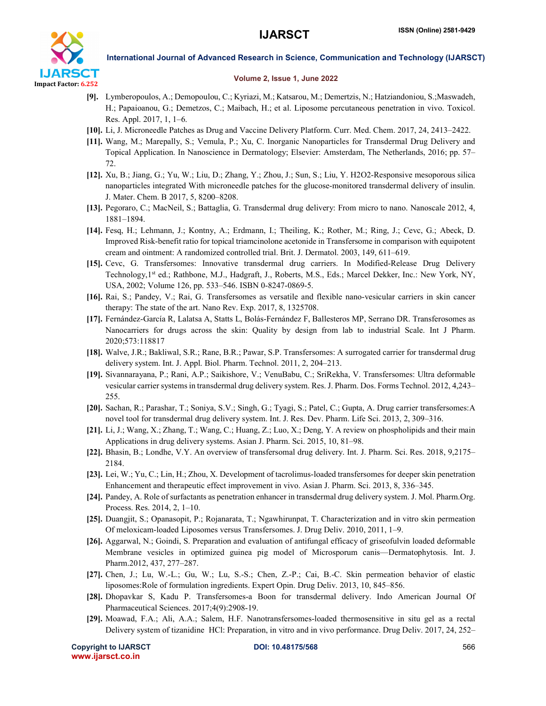

#### Volume 2, Issue 1, June 2022

- [9]. Lymberopoulos, A.; Demopoulou, C.; Kyriazi, M.; Katsarou, M.; Demertzis, N.; Hatziandoniou, S.;Maswadeh, H.; Papaioanou, G.; Demetzos, C.; Maibach, H.; et al. Liposome percutaneous penetration in vivo. Toxicol. Res. Appl. 2017, 1, 1–6.
- [10]. Li, J. Microneedle Patches as Drug and Vaccine Delivery Platform. Curr. Med. Chem. 2017, 24, 2413–2422.
- [11]. Wang, M.; Marepally, S.; Vemula, P.; Xu, C. Inorganic Nanoparticles for Transdermal Drug Delivery and Topical Application. In Nanoscience in Dermatology; Elsevier: Amsterdam, The Netherlands, 2016; pp. 57– 72.
- [12]. Xu, B.; Jiang, G.; Yu, W.; Liu, D.; Zhang, Y.; Zhou, J.; Sun, S.; Liu, Y. H2O2-Responsive mesoporous silica nanoparticles integrated With microneedle patches for the glucose-monitored transdermal delivery of insulin. J. Mater. Chem. B 2017, 5, 8200–8208.
- [13]. Pegoraro, C.; MacNeil, S.; Battaglia, G. Transdermal drug delivery: From micro to nano. Nanoscale 2012, 4, 1881–1894.
- [14]. Fesq, H.; Lehmann, J.; Kontny, A.; Erdmann, I.; Theiling, K.; Rother, M.; Ring, J.; Cevc, G.; Abeck, D. Improved Risk-benefit ratio for topical triamcinolone acetonide in Transfersome in comparison with equipotent cream and ointment: A randomized controlled trial. Brit. J. Dermatol. 2003, 149, 611–619.
- [15]. Cevc, G. Transfersomes: Innovative transdermal drug carriers. In Modified-Release Drug Delivery Technology, 1<sup>st</sup> ed.; Rathbone, M.J., Hadgraft, J., Roberts, M.S., Eds.; Marcel Dekker, Inc.: New York, NY, USA, 2002; Volume 126, pp. 533–546. ISBN 0-8247-0869-5.
- [16]. Rai, S.; Pandey, V.; Rai, G. Transfersomes as versatile and flexible nano-vesicular carriers in skin cancer therapy: The state of the art. Nano Rev. Exp. 2017, 8, 1325708.
- [17]. Fernández-García R, Lalatsa A, Statts L, Bolás-Fernández F, Ballesteros MP, Serrano DR. Transferosomes as Nanocarriers for drugs across the skin: Quality by design from lab to industrial Scale. Int J Pharm. 2020;573:118817
- [18]. Walve, J.R.; Bakliwal, S.R.; Rane, B.R.; Pawar, S.P. Transfersomes: A surrogated carrier for transdermal drug delivery system. Int. J. Appl. Biol. Pharm. Technol. 2011, 2, 204–213.
- [19]. Sivannarayana, P.; Rani, A.P.; Saikishore, V.; VenuBabu, C.; SriRekha, V. Transfersomes: Ultra deformable vesicular carrier systems in transdermal drug delivery system. Res. J. Pharm. Dos. Forms Technol. 2012, 4,243– 255.
- [20]. Sachan, R.; Parashar, T.; Soniya, S.V.; Singh, G.; Tyagi, S.; Patel, C.; Gupta, A. Drug carrier transfersomes:A novel tool for transdermal drug delivery system. Int. J. Res. Dev. Pharm. Life Sci. 2013, 2, 309–316.
- [21]. Li, J.; Wang, X.; Zhang, T.; Wang, C.; Huang, Z.; Luo, X.; Deng, Y. A review on phospholipids and their main Applications in drug delivery systems. Asian J. Pharm. Sci. 2015, 10, 81–98.
- [22]. Bhasin, B.; Londhe, V.Y. An overview of transfersomal drug delivery. Int. J. Pharm. Sci. Res. 2018, 9,2175– 2184.
- [23]. Lei, W.; Yu, C.; Lin, H.; Zhou, X. Development of tacrolimus-loaded transfersomes for deeper skin penetration Enhancement and therapeutic effect improvement in vivo. Asian J. Pharm. Sci. 2013, 8, 336–345.
- [24]. Pandey, A. Role of surfactants as penetration enhancer in transdermal drug delivery system. J. Mol. Pharm.Org. Process. Res. 2014, 2, 1–10.
- [25]. Duangjit, S.; Opanasopit, P.; Rojanarata, T.; Ngawhirunpat, T. Characterization and in vitro skin permeation Of meloxicam-loaded Liposomes versus Transfersomes. J. Drug Deliv. 2010, 2011, 1–9.
- [26]. Aggarwal, N.; Goindi, S. Preparation and evaluation of antifungal efficacy of griseofulvin loaded deformable Membrane vesicles in optimized guinea pig model of Microsporum canis—Dermatophytosis. Int. J. Pharm.2012, 437, 277–287.
- [27]. Chen, J.; Lu, W.-L.; Gu, W.; Lu, S.-S.; Chen, Z.-P.; Cai, B.-C. Skin permeation behavior of elastic liposomes:Role of formulation ingredients. Expert Opin. Drug Deliv. 2013, 10, 845–856.
- [28]. Dhopavkar S, Kadu P. Transfersomes-a Boon for transdermal delivery. Indo American Journal Of Pharmaceutical Sciences. 2017;4(9):2908-19.
- [29]. Moawad, F.A.; Ali, A.A.; Salem, H.F. Nanotransfersomes-loaded thermosensitive in situ gel as a rectal Delivery system of tizanidine HCl: Preparation, in vitro and in vivo performance. Drug Deliv. 2017, 24, 252–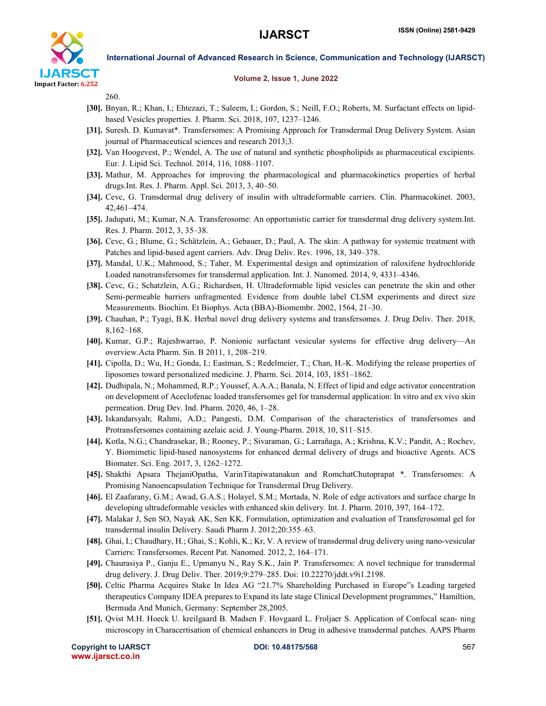

#### Volume 2, Issue 1, June 2022

260.

- [30]. Bnyan, R.; Khan, I.; Ehtezazi, T.; Saleem, I.; Gordon, S.; Neill, F.O.; Roberts, M. Surfactant effects on lipidbased Vesicles properties. J. Pharm. Sci. 2018, 107, 1237–1246.
- [31]. Suresh. D. Kumavat\*. Transfersomes: A Promising Approach for Transdermal Drug Delivery System. Asian journal of Pharmaceutical sciences and research 2013;3.
- [32]. Van Hoogevest, P.; Wendel, A. The use of natural and synthetic phospholipids as pharmaceutical excipients. Eur. J. Lipid Sci. Technol. 2014, 116, 1088–1107.
- [33]. Mathur, M. Approaches for improving the pharmacological and pharmacokinetics properties of herbal drugs.Int. Res. J. Pharm. Appl. Sci. 2013, 3, 40–50.
- [34]. Cevc, G. Transdermal drug delivery of insulin with ultradeformable carriers. Clin. Pharmacokinet. 2003, 42,461–474.
- [35]. Jadupati, M.; Kumar, N.A. Transferosome: An opportunistic carrier for transdermal drug delivery system.Int. Res. J. Pharm. 2012, 3, 35–38.
- [36]. Cevc, G.; Blume, G.; Schätzlein, A.; Gebauer, D.; Paul, A. The skin: A pathway for systemic treatment with Patches and lipid-based agent carriers. Adv. Drug Deliv. Rev. 1996, 18, 349–378.
- [37]. Mandal, U.K.; Mahmood, S.; Taher, M. Experimental design and optimization of raloxifene hydrochloride Loaded nanotransfersomes for transdermal application. Int. J. Nanomed. 2014, 9, 4331–4346.
- [38]. Cevc, G.; Schatzlein, A.G.; Richardsen, H. Ultradeformable lipid vesicles can penetrate the skin and other Semi-permeable barriers unfragmented. Evidence from double label CLSM experiments and direct size Measurements. Biochim. Et Biophys. Acta (BBA)-Biomembr. 2002, 1564, 21–30.
- [39]. Chauhan, P.; Tyagi, B.K. Herbal novel drug delivery systems and transfersomes. J. Drug Deliv. Ther. 2018, 8,162–168.
- [40]. Kumar, G.P.; Rajeshwarrao, P. Nonionic surfactant vesicular systems for effective drug delivery—An overview.Acta Pharm. Sin. B 2011, 1, 208–219.
- [41]. Cipolla, D.; Wu, H.; Gonda, I.; Eastman, S.; Redelmeier, T.; Chan, H.-K. Modifying the release properties of liposomes toward personalized medicine. J. Pharm. Sci. 2014, 103, 1851–1862.
- [42]. Dudhipala, N.; Mohammed, R.P.; Youssef, A.A.A.; Banala, N. Effect of lipid and edge activator concentration on development of Aceclofenac loaded transfersomes gel for transdermal application: In vitro and ex vivo skin permeation. Drug Dev. Ind. Pharm. 2020, 46, 1–28.
- [43]. Iskandarsyah; Rahmi, A.D.; Pangesti, D.M. Comparison of the characteristics of transfersomes and Protransfersomes containing azelaic acid. J. Young-Pharm. 2018, 10, S11–S15.
- [44]. Kotla, N.G.; Chandrasekar, B.; Rooney, P.; Sivaraman, G.; Larrañaga, A.; Krishna, K.V.; Pandit, A.; Rochev, Y. Biomimetic lipid-based nanosystems for enhanced dermal delivery of drugs and bioactive Agents. ACS Biomater. Sci. Eng. 2017, 3, 1262–1272.
- [45]. Shakthi Apsara ThejaniOpatha, VarinTitapiwatanakun and RomchatChutoprapat \*. Transfersomes: A Promising Nanoencapsulation Technique for Transdermal Drug Delivery.
- [46]. El Zaafarany, G.M.; Awad, G.A.S.; Holayel, S.M.; Mortada, N. Role of edge activators and surface charge In developing ultradeformable vesicles with enhanced skin delivery. Int. J. Pharm. 2010, 397, 164–172.
- [47]. Malakar J, Sen SO, Nayak AK, Sen KK. Formulation, optimization and evaluation of Transferosomal gel for transdermal insulin Delivery. Saudi Pharm J. 2012;20:355–63.
- [48]. Ghai, I.; Chaudhary, H.; Ghai, S.; Kohli, K.; Kr, V. A review of transdermal drug delivery using nano-vesicular Carriers: Transfersomes. Recent Pat. Nanomed. 2012, 2, 164–171.
- [49]. Chaurasiya P., Ganju E., Upmanyu N., Ray S.K., Jain P. Transfersomes: A novel technique for transdermal drug delivery. J. Drug Deliv. Ther. 2019;9:279–285. Doi: 10.22270/jddt.v9i1.2198.
- [50]. Celtic Pharma Acquires Stake In Idea AG "21.7% Shareholding Purchased in Europe"s Leading targeted therapeutics Company IDEA prepares to Expand its late stage Clinical Development programmes," Hamiltion, Bermuda And Munich, Germany: September 28,2005.
- [51]. Qvist M.H. Hoeck U. kreilgaard B. Madsen F. Hovgaard L. Froljaer S. Application of Confocal scan- ning microscopy in Characertisation of chemical enhancers in Drug in adhesive transdermal patches. AAPS Pharm